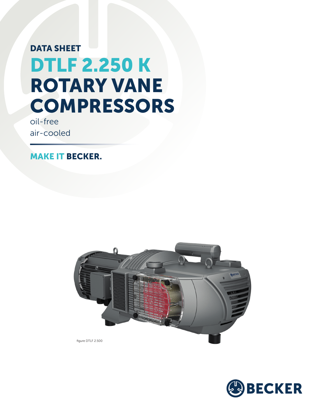## DATA SHEET DTLF 2.250 K ROTARY VANE **COMPRESSORS**

oil-free air-cooled

MAKE IT BECKER.



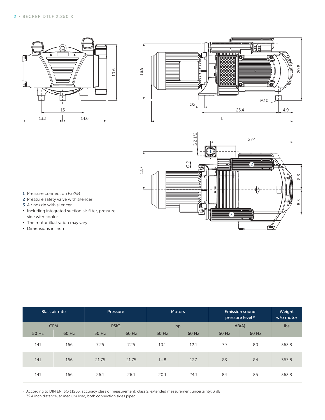





- 1 Pressure connection (G2½)
- 2 Pressure safety valve with silencer
- 3 Air nozzle with silencer
- **·** Including integrated suction air filter, pressure side with cooler
- **•** The motor illustration may vary
- **▪** Dimensions in inch

|       | Blast air rate |       | <b>Pressure</b> |       | Motors | <b>Emission sound</b><br>pressure level <sup>1)</sup> | Weight<br>w/o motor |       |
|-------|----------------|-------|-----------------|-------|--------|-------------------------------------------------------|---------------------|-------|
|       | <b>CFM</b>     |       | <b>PSIG</b>     |       | hp     | dB(A)                                                 |                     | lbs   |
| 50 Hz | 60 Hz          | 50 Hz | 60 Hz           | 50 Hz | 60 Hz  | 50 Hz                                                 | 60 Hz               |       |
| 141   | 166            | 7.25  | 7.25            | 10.1  | 12.1   | 79                                                    | 80                  | 363.8 |
| 141   | 166            | 21.75 | 21.75           | 14.8  | 17.7   | 83                                                    | 84                  | 363.8 |
| 141   | 166            | 26.1  | 26.1            | 20.1  | 24.1   | 84                                                    | 85                  | 363.8 |

<sup>1)</sup> According to DIN EN ISO 11203, accuracy class of measurement: class 2, extended measurement uncertainty: 3 dB 39.4 inch distance, at medium load, both connection sides piped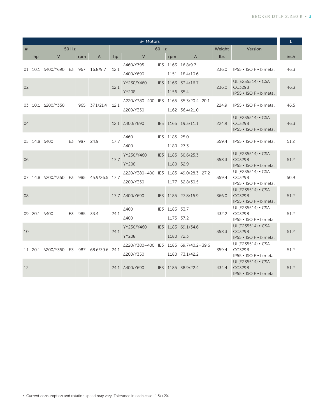| 3~ Motors    |                         |                       |     |     |                |       |                                       |                 |               | L.                 |        |                                             |      |
|--------------|-------------------------|-----------------------|-----|-----|----------------|-------|---------------------------------------|-----------------|---------------|--------------------|--------|---------------------------------------------|------|
| #            | 50 Hz                   |                       |     |     |                | 60 Hz |                                       |                 |               |                    | Weight | Version                                     |      |
|              | hp                      | V                     |     | rpm | $\mathsf{A}$   | hp    | V                                     |                 | rpm           | A                  | lbs.   |                                             | inch |
|              |                         |                       |     |     |                |       | ∆460/Y795                             |                 |               | IE3 1163 16.8/9.7  | 236.0  |                                             |      |
|              |                         | 01 10.1 A400/Y690 IE3 |     | 967 | 16.8/9.7       | 12.1  | ∆400/Y690                             |                 |               | 1151 18.4/10.6     |        | IP55 • ISO F • bimetal                      | 46.3 |
| 02           |                         |                       |     |     |                | 12.1  | YY230/Y460                            | IE <sub>3</sub> |               | 1163 33.4/16.7     | 236.0  | UL(E235514) • CSA                           |      |
|              |                         |                       |     |     |                |       | <b>YY208</b>                          |                 | 1156 35.4     |                    |        | <b>CC329B</b><br>IP55 • ISO F • bimetal     | 46.3 |
|              |                         | 03 10.1 A200/Y350     |     |     | 37.1/21.4      | 12.1  | Δ220/Y380-400 IE3 1165 35.3/20.4-20.1 |                 |               |                    | 224.9  |                                             |      |
|              |                         |                       |     | 965 |                |       | ∆200/Y350                             |                 |               | 1162 36.4/21.0     |        | IP55 • ISO F • bimetal                      | 46.5 |
|              |                         |                       |     |     |                |       |                                       |                 |               |                    |        | UL(E235514) • CSA                           |      |
| 04           |                         |                       |     |     |                |       | 12.1 $\triangle$ 400/Y690             |                 |               | IE3 1165 19.3/11.1 | 224.9  | <b>CC329B</b><br>IP55 • ISO F • bimetal     | 46.3 |
| 05 14.8 4400 |                         |                       | IE3 | 987 | 24.9           | 17.7  | Δ460                                  |                 | IE3 1185 25.0 |                    | 359.4  | IP55 • ISO F • bimetal                      |      |
|              |                         |                       |     |     |                |       | Δ400                                  |                 | 1180 27.3     |                    |        |                                             | 51.2 |
| 06           |                         |                       |     |     |                | 17.7  | YY230/Y460                            |                 |               | IE3 1185 50.6/25.3 | 358.3  | UL(E235514) • CSA                           |      |
|              |                         |                       |     |     |                |       | <b>YY208</b>                          |                 | 1180 52.9     |                    |        | <b>CC329B</b><br>IP55 • ISO F • bimetal     | 51.2 |
|              |                         | 07 14.8 A200/Y350 IE3 |     |     | 45.9/26.5 17.7 |       | △220/Y380-400 IE3 1185 49.0/28.3-27.2 |                 |               |                    | 359.4  | UL(E235514) • CSA                           |      |
|              |                         |                       |     | 985 |                |       | ∆200/Y350                             |                 |               | 1177 52.8/30.5     |        | <b>CC329B</b><br>IP55 • ISO F • bimetal     | 50.9 |
|              |                         |                       |     |     |                |       |                                       |                 |               |                    |        | UL(E235514) • CSA                           |      |
| 08           |                         |                       |     |     |                |       | 17.7 $\triangle$ 400/Y690             |                 |               | IE3 1185 27.8/15.9 | 366.0  | <b>CC329B</b>                               | 51.2 |
|              |                         |                       |     |     |                |       | Δ460                                  |                 | IE3 1183 33.7 |                    |        | IP55 • ISO F • bimetal<br>UL(E235514) • CSA |      |
|              | 09 20.1 $\triangle$ 400 |                       | IE3 | 985 | 33.4           | 24.1  | Δ400                                  |                 | 1175 37.2     |                    | 432.2  | <b>CC329B</b>                               | 51.2 |
|              |                         |                       |     |     |                |       |                                       |                 |               |                    |        | IP55 . ISO F . bimetal<br>UL(E235514) • CSA |      |
| 10           |                         |                       |     |     |                | 24.1  | YY230/Y460                            |                 |               | IE3 1183 69.1/34.6 | 358.3  | <b>CC329B</b>                               | 51.2 |
|              |                         |                       |     |     |                |       | <b>YY208</b>                          |                 | 1180 72.3     |                    |        | IP55 • ISO F • bimetal                      |      |
|              |                         | 11 20.1 A200/Y350 IE3 |     | 987 | 68.6/39.6 24.1 |       | △220/Y380-400 IE3 1185 69.7/40.2-39.6 |                 |               |                    | 359.4  | UL(E235514) • CSA<br><b>CC329B</b>          | 51.2 |
|              |                         |                       |     |     |                |       | Δ200/Y350                             |                 |               | 1180 73.1/42.2     |        | IP55 • ISO F • bimetal                      |      |
| 12           |                         |                       |     |     |                |       | 24.1 $\triangle$ 400/Y690             |                 |               | IE3 1185 38.9/22.4 | 434.4  | UL(E235514) • CSA<br><b>CC329B</b>          | 51.2 |
|              |                         |                       |     |     |                |       |                                       |                 |               |                    |        | IP55 • ISO F • bimetal                      |      |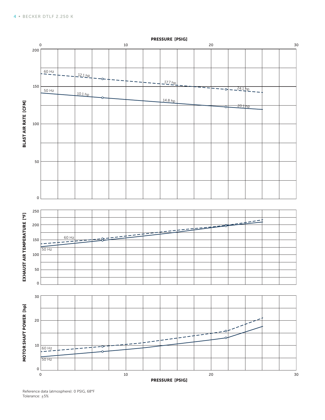

Reference data (atmosphere): 0 PSIG, 68°F Tolerance: ±5%